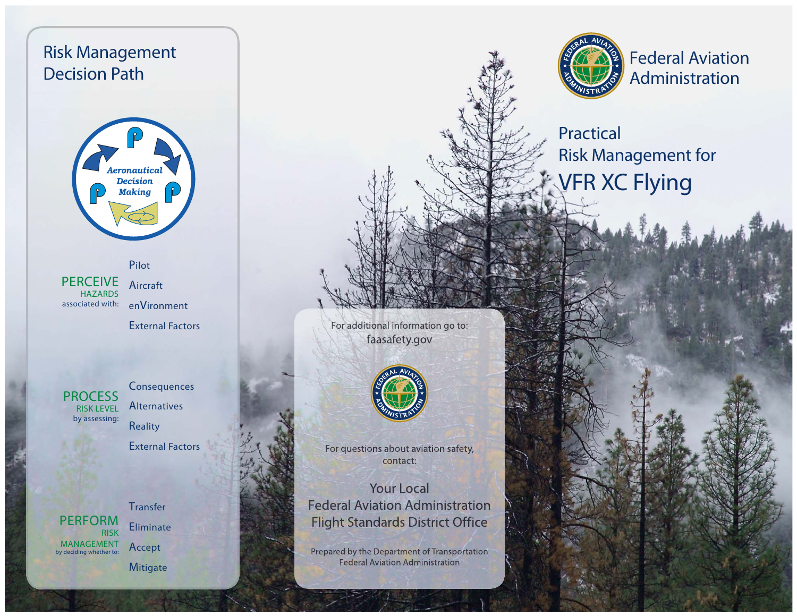# Risk Management Decision Path



Pilotassociated with:  $\;$  en $\sf{V}$ ironment **PERCEIVE HAZARDS** 

Aircraft

External Factors



**Consequences Alternatives Reality** External Factors

PERFORMRISKMANAGEMENTby deciding whether to:

**Transfer Eliminate** Accept **Mitigate** 

For additional information go to: faasafety.gov



For questions about aviation safety, contact:

**Your Local Federal Aviation Administration Flight Standards District Office** 

Prepared by the Department of Transportation **Federal Aviation Administration** 



Federal Aviation Administration

# Practical Risk Management for VFR XC Flying